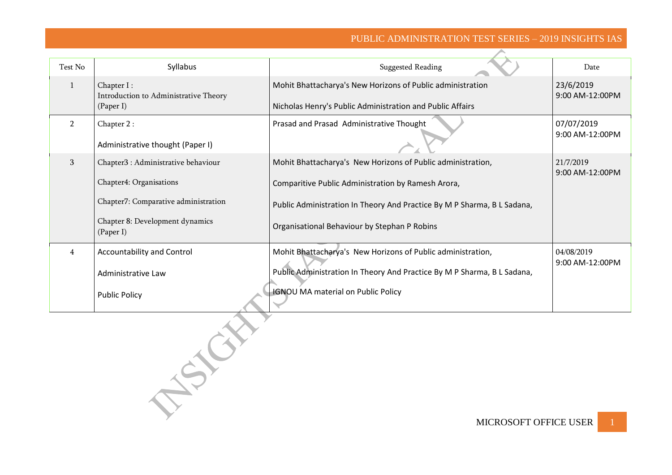## PUBLIC ADMINISTRATION TEST SERIES – 2019 INSIGHTS IAS

| Test No        | Syllabus                              | <b>Suggested Reading</b>                                                | Date                         |
|----------------|---------------------------------------|-------------------------------------------------------------------------|------------------------------|
| 1              | Chapter I:                            | Mohit Bhattacharya's New Horizons of Public administration              | 23/6/2019                    |
|                | Introduction to Administrative Theory |                                                                         | 9:00 AM-12:00PM              |
|                | (Paper I)                             | Nicholas Henry's Public Administration and Public Affairs               |                              |
| $\overline{2}$ | Chapter 2:                            | Prasad and Prasad Administrative Thought                                | 07/07/2019                   |
|                | Administrative thought (Paper I)      |                                                                         | 9:00 AM-12:00PM              |
|                |                                       |                                                                         |                              |
| 3              | Chapter3 : Administrative behaviour   | Mohit Bhattacharya's New Horizons of Public administration,             | 21/7/2019<br>9:00 AM-12:00PM |
|                | Chapter4: Organisations               | Comparitive Public Administration by Ramesh Arora,                      |                              |
|                |                                       |                                                                         |                              |
|                | Chapter7: Comparative administration  | Public Administration In Theory And Practice By M P Sharma, B L Sadana, |                              |
|                | Chapter 8: Development dynamics       | Organisational Behaviour by Stephan P Robins                            |                              |
|                | (Paper I)                             |                                                                         |                              |
| 4              | <b>Accountability and Control</b>     | Mohit Bhattacharya's New Horizons of Public administration,             | 04/08/2019                   |
|                |                                       | Public Administration In Theory And Practice By M P Sharma, B L Sadana, | 9:00 AM-12:00PM              |
|                | Administrative Law                    |                                                                         |                              |
|                | <b>Public Policy</b>                  | <b>IGNOU MA material on Public Policy</b>                               |                              |
|                |                                       |                                                                         |                              |
|                |                                       |                                                                         |                              |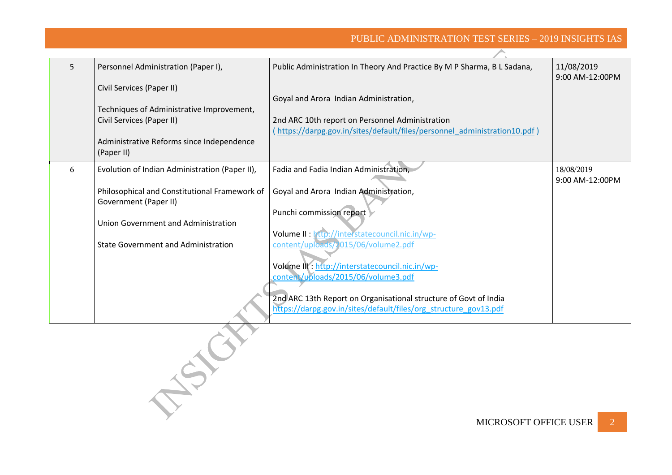## PUBLIC ADMINISTRATION TEST SERIES – 2019 INSIGHTS IAS

| 5. | Personnel Administration (Paper I),                                    | Public Administration In Theory And Practice By M P Sharma, B L Sadana,  | 11/08/2019<br>9:00 AM-12:00PM |
|----|------------------------------------------------------------------------|--------------------------------------------------------------------------|-------------------------------|
|    | Civil Services (Paper II)                                              |                                                                          |                               |
|    |                                                                        | Goyal and Arora Indian Administration,                                   |                               |
|    | Techniques of Administrative Improvement,                              |                                                                          |                               |
|    | Civil Services (Paper II)                                              | 2nd ARC 10th report on Personnel Administration                          |                               |
|    |                                                                        | https://darpg.gov.in/sites/default/files/personnel administration10.pdf) |                               |
|    | Administrative Reforms since Independence                              |                                                                          |                               |
|    | (Paper II)                                                             |                                                                          |                               |
| 6  | Evolution of Indian Administration (Paper II),                         | Fadia and Fadia Indian Administration,                                   | 18/08/2019                    |
|    |                                                                        |                                                                          | 9:00 AM-12:00PM               |
|    | Philosophical and Constitutional Framework of<br>Government (Paper II) | Goyal and Arora Indian Administration,                                   |                               |
|    |                                                                        | Punchi commission report                                                 |                               |
|    | Union Government and Administration                                    |                                                                          |                               |
|    |                                                                        | Volume II : http://interstatecouncil.nic.in/wp-                          |                               |
|    | <b>State Government and Administration</b>                             | content/uploads/2015/06/volume2.pdf                                      |                               |
|    |                                                                        |                                                                          |                               |
|    |                                                                        | Volume III: http://interstatecouncil.nic.in/wp-                          |                               |
|    |                                                                        | content/uploads/2015/06/volume3.pdf                                      |                               |
|    |                                                                        |                                                                          |                               |
|    |                                                                        | 2nd ARC 13th Report on Organisational structure of Govt of India         |                               |
|    |                                                                        | https://darpg.gov.in/sites/default/files/org_structure_gov13.pdf         |                               |

NSICH